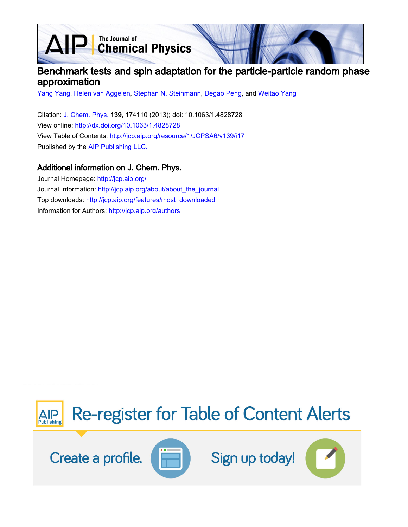The Journal of<br>Chemical Physics

# Benchmark tests and spin adaptation for the particle-particle random phase approximation

[Yang Yang](http://jcp.aip.org/search?sortby=newestdate&q=&searchzone=2&searchtype=searchin&faceted=faceted&key=AIP_ALL&possible1=Yang Yang&possible1zone=author&alias=&displayid=AIP&ver=pdfcov), [Helen van Aggelen](http://jcp.aip.org/search?sortby=newestdate&q=&searchzone=2&searchtype=searchin&faceted=faceted&key=AIP_ALL&possible1=Helen van Aggelen&possible1zone=author&alias=&displayid=AIP&ver=pdfcov), [Stephan N. Steinmann,](http://jcp.aip.org/search?sortby=newestdate&q=&searchzone=2&searchtype=searchin&faceted=faceted&key=AIP_ALL&possible1=Stephan N. Steinmann&possible1zone=author&alias=&displayid=AIP&ver=pdfcov) [Degao Peng,](http://jcp.aip.org/search?sortby=newestdate&q=&searchzone=2&searchtype=searchin&faceted=faceted&key=AIP_ALL&possible1=Degao Peng&possible1zone=author&alias=&displayid=AIP&ver=pdfcov) and [Weitao Yang](http://jcp.aip.org/search?sortby=newestdate&q=&searchzone=2&searchtype=searchin&faceted=faceted&key=AIP_ALL&possible1=Weitao Yang&possible1zone=author&alias=&displayid=AIP&ver=pdfcov)

Citation: [J. Chem. Phys. 1](http://jcp.aip.org/?ver=pdfcov)39, 174110 (2013); doi: 10.1063/1.4828728 View online: [http://dx.doi.org/10.1063/1.4828728](http://link.aip.org/link/doi/10.1063/1.4828728?ver=pdfcov) View Table of Contents: [http://jcp.aip.org/resource/1/JCPSA6/v139/i17](http://jcp.aip.org/resource/1/JCPSA6/v139/i17?ver=pdfcov) Published by the [AIP Publishing LLC.](http://www.aip.org/?ver=pdfcov)

## Additional information on J. Chem. Phys.

Journal Homepage: [http://jcp.aip.org/](http://jcp.aip.org/?ver=pdfcov) Journal Information: [http://jcp.aip.org/about/about\\_the\\_journal](http://jcp.aip.org/about/about_the_journal?ver=pdfcov) Top downloads: [http://jcp.aip.org/features/most\\_downloaded](http://jcp.aip.org/features/most_downloaded?ver=pdfcov) Information for Authors: [http://jcp.aip.org/authors](http://jcp.aip.org/authors?ver=pdfcov)

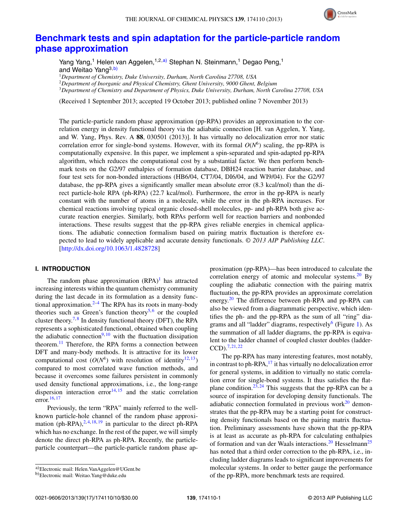

## **[Benchmark tests and spin adaptation for the particle-particle random](http://dx.doi.org/10.1063/1.4828728) [phase approximation](http://dx.doi.org/10.1063/1.4828728)**

Yang Yang,<sup>1</sup> Helen van Aggelen,<sup>1,2[,a\)](#page-1-0)</sup> Stephan N. Steinmann,<sup>1</sup> Degao Peng,<sup>1</sup> and Weitao Yang<sup>3[,b\)](#page-1-1)</sup>

<sup>1</sup>*Department of Chemistry, Duke University, Durham, North Carolina 27708, USA*

<sup>2</sup>*Department of Inorganic and Physical Chemistry, Ghent University, 9000 Ghent, Belgium*

<sup>3</sup>*Department of Chemistry and Department of Physics, Duke University, Durham, North Carolina 27708, USA*

(Received 1 September 2013; accepted 19 October 2013; published online 7 November 2013)

The particle-particle random phase approximation (pp-RPA) provides an approximation to the correlation energy in density functional theory via the adiabatic connection [H. van Aggelen, Y. Yang, and W. Yang, Phys. Rev. A **88**, 030501 (2013)]. It has virtually no delocalization error nor static correlation error for single-bond systems. However, with its formal  $O(N^6)$  scaling, the pp-RPA is computationally expensive. In this paper, we implement a spin-separated and spin-adapted pp-RPA algorithm, which reduces the computational cost by a substantial factor. We then perform benchmark tests on the G2/97 enthalpies of formation database, DBH24 reaction barrier database, and four test sets for non-bonded interactions (HB6/04, CT7/04, DI6/04, and WI9/04). For the G2/97 database, the pp-RPA gives a significantly smaller mean absolute error (8.3 kcal/mol) than the direct particle-hole RPA (ph-RPA) (22.7 kcal/mol). Furthermore, the error in the pp-RPA is nearly constant with the number of atoms in a molecule, while the error in the ph-RPA increases. For chemical reactions involving typical organic closed-shell molecules, pp- and ph-RPA both give accurate reaction energies. Similarly, both RPAs perform well for reaction barriers and nonbonded interactions. These results suggest that the pp-RPA gives reliable energies in chemical applications. The adiabatic connection formalism based on pairing matrix fluctuation is therefore expected to lead to widely applicable and accurate density functionals. *© 2013 AIP Publishing LLC*. [\[http://dx.doi.org/10.1063/1.4828728\]](http://dx.doi.org/10.1063/1.4828728)

## **I. INTRODUCTION**

The random phase approximation  $(RPA)^{1}$  has attracted increasing interests within the quantum chemistry community during the last decade in its formulation as a density functional approximation. $2-4$  $2-4$  The RPA has its roots in many-body theories such as Green's function theory<sup>5,[6](#page-10-4)</sup> or the coupled cluster theory.<sup>7,[8](#page-10-6)</sup> In density functional theory (DFT), the RPA represents a sophisticated functional, obtained when coupling the adiabatic connection<sup>9, [10](#page-10-8)</sup> with the fluctuation dissipation theorem.<sup>[11](#page-10-9)</sup> Therefore, the RPA forms a connection between DFT and many-body methods. It is attractive for its lower computational cost  $(O(N^4))$  with resolution of identity<sup>12, 13</sup>) compared to most correlated wave function methods, and because it overcomes some failures persistent in commonly used density functional approximations, i.e., the long-range dispersion interaction error $14, 15$  $14, 15$  $14, 15$  and the static correlation error. $16, 17$  $16, 17$  $16, 17$ 

Previously, the term "RPA" mainly referred to the wellknown particle-hole channel of the random phase approximation (ph-RPA), $^{2,4,18,19}$  $^{2,4,18,19}$  $^{2,4,18,19}$  $^{2,4,18,19}$  $^{2,4,18,19}$  in particular to the direct ph-RPA which has no exchange. In the rest of the paper, we will simply denote the direct ph-RPA as ph-RPA. Recently, the particleparticle counterpart—the particle-particle random phase approximation (pp-RPA)—has been introduced to calculate the correlation energy of atomic and molecular systems.<sup>[20](#page-10-18)</sup> By coupling the adiabatic connection with the pairing matrix fluctuation, the pp-RPA provides an approximate correlation energy.<sup>[20](#page-10-18)</sup> The difference between ph-RPA and pp-RPA can also be viewed from a diagrammatic perspective, which identifies the ph- and the pp-RPA as the sum of all "ring" diagrams and all "ladder" diagrams, respectively $\sigma$  (Figure [1\)](#page-2-0). As the summation of all ladder diagrams, the pp-RPA is equivalent to the ladder channel of coupled cluster doubles (ladder-CCD)[.7,](#page-10-5) [21,](#page-10-19) [22](#page-10-20)

The pp-RPA has many interesting features, most notably, in contrast to ph-RPA, $^{17}$  it has virtually no delocalization error for general systems, in addition to virtually no static correlation error for single-bond systems. It thus satisfies the flat-plane condition.<sup>23, [24](#page-10-22)</sup> This suggests that the pp-RPA can be a source of inspiration for developing density functionals. The adiabatic connection formulated in previous work $^{20}$  demonstrates that the pp-RPA may be a starting point for constructing density functionals based on the pairing matrix fluctuation. Preliminary assessments have shown that the pp-RPA is at least as accurate as ph-RPA for calculating enthalpies of formation and van der Waals interactions.<sup>[20](#page-10-18)</sup> Hesselmann<sup>25</sup> has noted that a third order correction to the ph-RPA, i.e., including ladder diagrams leads to significant improvements for molecular systems. In order to better gauge the performance of the pp-RPA, more benchmark tests are required.

<span id="page-1-0"></span>a)Electronic mail: [Helen.VanAggelen@UGent.be](mailto: Helen.VanAggelen@UGent.be)

<span id="page-1-1"></span>b)Electronic mail: [Weitao.Yang@duke.edu](mailto: Weitao.Yang@duke.edu)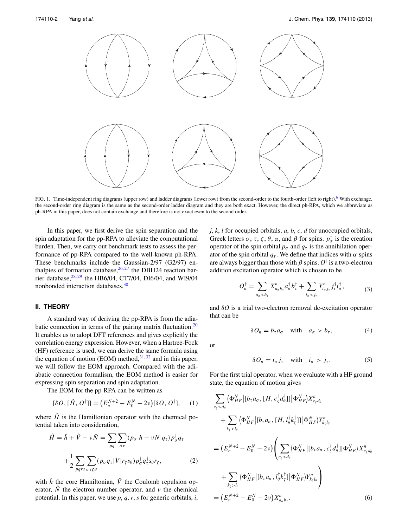<span id="page-2-0"></span>

FIG. 1. Time-independent ring diagrams (upper row) and ladder diagrams (lower row) from the second-order to the fourth-order (left to right).<sup>6</sup> With exchange, the second-order ring diagram is the same as the second-order ladder diagram and they are both exact. However, the direct ph-RPA, which we abbreviate as ph-RPA in this paper, does not contain exchange and therefore is not exact even to the second order.

In this paper, we first derive the spin separation and the spin adaptation for the pp-RPA to alleviate the computational burden. Then, we carry out benchmark tests to assess the performance of pp-RPA compared to the well-known ph-RPA. These benchmarks include the Gaussian-2/97 (G2/97) enthalpies of formation database,  $26, 27$  $26, 27$  $26, 27$  the DBH24 reaction barrier database, $^{28,29}$  $^{28,29}$  $^{28,29}$  $^{28,29}$  the HB6/04, CT7/04, DI6/04, and WI9/04 nonbonded interaction databases[.30](#page-10-28)

## **II. THEORY**

A standard way of deriving the pp-RPA is from the adiabatic connection in terms of the pairing matrix fluctuation. $20$ It enables us to adopt DFT references and gives explicitly the correlation energy expression. However, when a Hartree-Fock (HF) reference is used, we can derive the same formula using the equation of motion (EOM) method,  $31, 32$  $31, 32$  $31, 32$  and in this paper, we will follow the EOM approach. Compared with the adiabatic connection formalism, the EOM method is easier for expressing spin separation and spin adaptation.

The EOM for the pp-RPA can be written as

$$
[\delta O, [\hat{H}, O^{\dagger}]] = (E_n^{N+2} - E_0^N - 2\nu)[\delta O, O^{\dagger}], \quad (1)
$$

where  $\hat{H}$  is the Hamiltonian operator with the chemical potential taken into consideration,

$$
\hat{H} = \hat{h} + \hat{V} - \nu \hat{N} = \sum_{pq} \sum_{\sigma \tau} \langle p_{\sigma} | h - \nu N | q_{\tau} \rangle p_{\sigma}^{\dagger} q_{\tau} \n+ \frac{1}{2} \sum_{pqrs} \sum_{\sigma \tau \zeta \theta} (p_{\sigma} q_{\tau} | V | r_{\zeta} s_{\theta}) p_{\sigma}^{\dagger} q_{\tau}^{\dagger} s_{\theta} r_{\zeta},
$$
\n(2)

with  $\hat{h}$  the core Hamiltonian,  $\hat{V}$  the Coulomb repulsion operator,  $\hat{N}$  the electron number operator, and  $\nu$  the chemical potential. In this paper, we use *p*, *q*, *r*, *s* for generic orbitals, *i*, *j*, *k*, *l* for occupied orbitals, *a*, *b*, *c*, *d* for unoccupied orbitals, Greek letters  $\sigma$ ,  $\tau$ ,  $\zeta$ ,  $\theta$ ,  $\alpha$ , and  $\beta$  for spins.  $p_{\sigma}^{\dagger}$  is the creation operator of the spin orbital  $p_{\sigma}$  and  $q_{\tau}$  is the annihilation operator of the spin orbital  $q_\tau$ . We define that indices with  $\alpha$  spins are always bigger than those with  $\beta$  spins.  $O^{\dagger}$  is a two-electron addition excitation operator which is chosen to be

<span id="page-2-1"></span>
$$
O_n^{\dagger} = \sum_{a_{\sigma} > b_{\tau}} X_{a_{\sigma}b_{\tau}}^n a_{\sigma}^{\dagger} b_{\tau}^{\dagger} + \sum_{i_{\sigma} > j_{\tau}} Y_{i_{\sigma}j_{\tau}}^n j_{\tau}^{\dagger} i_{\sigma}^{\dagger},
$$
(3)

and *δO* is a trial two-electron removal de-excitation operator that can be

<span id="page-2-2"></span>
$$
\delta O_n = b_\tau a_\sigma \quad \text{with} \quad a_\sigma > b_\tau,\tag{4}
$$

<span id="page-2-3"></span>or

$$
\delta O_n = i_{\sigma} j_{\tau} \quad \text{with} \quad i_{\sigma} > j_{\tau}.
$$
 (5)

For the first trial operator, when we evaluate with a HF ground state, the equation of motion gives

$$
\sum_{c_{\xi} > d_{\theta}} \langle \Phi_{HF}^{N} | [b_{\tau} a_{\sigma}, [H, c_{\xi}^{\dagger} d_{\theta}^{\dagger}] | \Phi_{HF}^{N} \rangle X_{c_{\xi} d_{\theta}}^{n}
$$
\n
$$
+ \sum_{k_{\xi} > l_{\theta}} \langle \Phi_{HF}^{N} | [b_{\tau} a_{\sigma}, [H, l_{\theta}^{\dagger} k_{\xi}^{\dagger}] | \Phi_{HF}^{N} \rangle Y_{k_{\xi} l_{\theta}}^{n}
$$
\n
$$
= (E_{n}^{N+2} - E_{0}^{N} - 2\nu) \left( \sum_{c_{\xi} > d_{\theta}} \langle \Phi_{HF}^{N} | [b_{\tau} a_{\sigma}, c_{\xi}^{\dagger} d_{\theta}^{\dagger}] | \Phi_{HF}^{N} \rangle X_{c_{\xi} d_{\theta}}^{n}
$$
\n
$$
+ \sum_{k_{\xi} > l_{\theta}} \langle \Phi_{HF}^{N} | [b_{\tau} a_{\sigma}, l_{\theta}^{\dagger} k_{\xi}^{\dagger}] | \Phi_{HF}^{N} \rangle Y_{k_{\xi} l_{\theta}}^{n} \right)
$$
\n
$$
= (E_{n}^{N+2} - E_{0}^{N} - 2\nu) X_{a_{\sigma} b_{\tau}}^{n}.
$$
\n(6)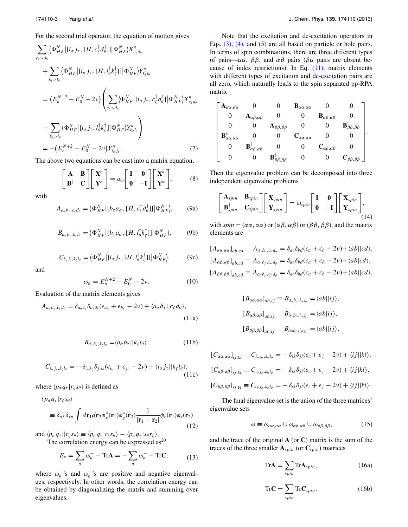For the second trial operator, the equation of motion gives

$$
\sum_{c_{\zeta} > d_{\theta}} \langle \Phi_{HF}^{N} | [i_{\sigma} j_{\tau}, [H, c_{\zeta}^{\dagger} d_{\theta}^{\dagger}]] | \Phi_{HF}^{N} \rangle X_{c_{\zeta} d_{\theta}}^{n}
$$
\n
$$
+ \sum_{k_{\zeta} > l_{\theta}} \langle \Phi_{HF}^{N} | [i_{\sigma} j_{\tau}, [H, l_{\theta}^{\dagger} k_{\zeta}^{\dagger}]] | \Phi_{HF}^{N} \rangle Y_{k_{\zeta} l_{\theta}}^{n}
$$
\n
$$
= (E_{n}^{N+2} - E_{0}^{N} - 2\nu) \left( \sum_{c_{\zeta} > d_{\theta}} \langle \Phi_{HF}^{N} | [i_{\sigma} j_{\tau}, c_{\zeta}^{\dagger} d_{\theta}^{\dagger}] | \Phi_{HF}^{N} \rangle X_{c_{\zeta} d_{\theta}}^{n}
$$
\n
$$
+ \sum_{k_{\zeta} > l_{\theta}} \langle \Phi_{HF}^{N} | [i_{\sigma} j_{\tau}, l_{\theta}^{\dagger} k_{\zeta}^{\dagger}] | \Phi_{HF}^{N} \rangle Y_{k_{\zeta} l_{\theta}}^{n} \right)
$$
\n
$$
= -(E_{n}^{N+2} - E_{0}^{N} - 2\nu) Y_{i_{\sigma} j_{\tau}}^{n}.
$$
\n(7)

The above two equations can be cast into a matrix equation,

$$
\begin{bmatrix} A & B \\ B^{\dagger} & C \end{bmatrix} \begin{bmatrix} X^n \\ Y^n \end{bmatrix} = \omega_n \begin{bmatrix} I & 0 \\ 0 & -I \end{bmatrix} \begin{bmatrix} X^n \\ Y^n \end{bmatrix},
$$
 (8)

with

$$
A_{a_{\sigma}b_{\tau},c_{\zeta}d_{\theta}} = \langle \Phi_{HF}^{N} | [b_{\tau}a_{\sigma}, [H, c_{\zeta}^{\dagger}d_{\theta}^{\dagger}]] | \Phi_{HF}^{N} \rangle, \qquad (9a)
$$

$$
B_{a_{\sigma}b_{\tau},k_{\zeta}l_{\theta}} = \langle \Phi_{HF}^{N} | [b_{\tau}a_{\sigma}, [H, l_{\theta}^{\dagger}k_{\zeta}^{\dagger}]] | \Phi_{HF}^{N} \rangle, \tag{9b}
$$

$$
C_{i_{\sigma}j_{\tau},k_{\zeta}l_{\theta}} = \langle \Phi_{HF}^{N} | [i_{\sigma}j_{\tau}, [H, l_{\theta}^{\dagger}k_{\zeta}^{\dagger}]] | \Phi_{HF}^{N} \rangle, \tag{9c}
$$

and

$$
\omega_n = E_n^{N+2} - E_0^N - 2\nu.
$$
 (10)

Evaluation of the matrix elements gives

$$
A_{a_{\sigma}b_{\tau},c_{\zeta}d_{\theta}} = \delta_{a_{\sigma}c_{\zeta}}\delta_{b_{\tau}d_{\theta}}(\epsilon_{a_{\sigma}} + \epsilon_{b_{\tau}} - 2\nu) + \langle a_{\sigma}b_{\tau}||c_{\zeta}d_{\theta}\rangle,
$$
\n(11a)

$$
B_{a_{\sigma}b_{\tau},k_{\zeta}l_{\theta}} = \langle a_{\sigma}b_{\tau} | |k_{\zeta}l_{\theta} \rangle, \qquad (11b)
$$

$$
C_{i_{\sigma}j_{\tau},k_{\zeta}l_{\theta}} = -\delta_{i_{\sigma}k_{\zeta}}\delta_{j_{\tau}l_{\theta}}(\epsilon_{i_{\sigma}} + \epsilon_{j_{\tau}} - 2\nu) + \langle i_{\sigma}j_{\tau} || k_{\zeta}l_{\theta} \rangle, \tag{11c}
$$

where  $\langle p_{\sigma} q_{\tau} | r_{\zeta} s_{\theta} \rangle$  is defined as

$$
\langle p_{\sigma} q_{\tau} | r_{\zeta} s_{\theta} \rangle
$$
  
\n
$$
\equiv \delta_{\sigma \zeta} \delta_{\tau \theta} \int d \mathbf{r}_1 d \mathbf{r}_2 \phi_p^* (\mathbf{r}_1) \phi_q^* (\mathbf{r}_2) \frac{1}{|\mathbf{r}_1 - \mathbf{r}_2|} \phi_r (\mathbf{r}_1) \phi_s (\mathbf{r}_2)
$$
\n(12)

and  $\langle p_{\sigma} q_{\tau} | r_{\zeta} s_{\theta} \rangle \equiv \langle p_{\sigma} q_{\tau} | r_{\zeta} s_{\theta} \rangle - \langle p_{\sigma} q_{\tau} | s_{\theta} r_{\zeta} \rangle.$ The correlation energy can be expressed  $\text{as}^{20}$  $\text{as}^{20}$  $\text{as}^{20}$ 

$$
E_c = \sum_n \omega_n^+ - \text{Tr}\mathbf{A} = -\sum_n \omega_n^- - \text{Tr}\mathbf{C},\qquad(13)
$$

where  $\omega_n^+$ 's and  $\omega_n^-$ 's are positive and negative eigenvalues, respectively. In other words, the correlation energy can be obtained by diagonalizing the matrix and summing over eigenvalues.

Note that the excitation and de-excitation operators in Eqs.  $(3)$ ,  $(4)$ , and  $(5)$  are all based on particle or hole pairs. In terms of spin combinations, there are three different types of pairs—*αα*, *ββ*, and *αβ* pairs (*βα* pairs are absent because of index restrictions). In Eq. [\(11\),](#page-3-0) matrix elements with different types of excitation and de-excitation pairs are all zero, which naturally leads to the spin separated pp-RPA matrix

$$
\begin{bmatrix}\n{\bf A}_{\alpha\alpha,\alpha\alpha} & 0 & 0 & {\bf B}_{\alpha\alpha,\alpha\alpha} & 0 & 0 \\
0 & {\bf A}_{\alpha\beta,\alpha\beta} & 0 & 0 & {\bf B}_{\alpha\beta,\alpha\beta} & 0 \\
0 & 0 & {\bf A}_{\beta\beta,\beta\beta} & 0 & 0 & {\bf B}_{\beta\beta,\beta\beta} \\
{\bf B}_{\alpha\alpha,\alpha\alpha}^{\dagger} & 0 & 0 & {\bf C}_{\alpha\alpha,\alpha\alpha} & 0 & 0 \\
0 & {\bf B}_{\alpha\beta,\alpha\beta}^{\dagger} & 0 & 0 & {\bf C}_{\alpha\beta,\alpha\beta} & 0 \\
0 & 0 & {\bf B}_{\beta\beta,\beta\beta}^{\dagger} & 0 & 0 & {\bf C}_{\beta\beta,\beta\beta}\n\end{bmatrix}.
$$

Then the eigenvalue problem can be decomposed into three independent eigenvalue problems

$$
\begin{bmatrix} \mathbf{A}_{spin} & \mathbf{B}_{spin} \\ \mathbf{B}_{spin}^{\dagger} & \mathbf{C}_{spin} \end{bmatrix} \begin{bmatrix} \mathbf{X}_{spin} \\ \mathbf{Y}_{spin} \end{bmatrix} = \omega_{spin} \begin{bmatrix} \mathbf{I} & \mathbf{0} \\ \mathbf{0} & -\mathbf{I} \end{bmatrix} \begin{bmatrix} \mathbf{X}_{spin} \\ \mathbf{Y}_{spin} \end{bmatrix},
$$
\n(14)

with  $spin = (\alpha \alpha, \alpha \alpha)$  or  $(\alpha \beta, \alpha \beta)$  or  $(\beta \beta, \beta \beta)$ , and the matrix elements are

$$
[A_{\alpha\alpha,\alpha\alpha}]_{ab,cd} \equiv A_{a_a b_a, c_a d_a} = \delta_{ac}\delta_{bd}(\epsilon_a + \epsilon_b - 2\nu) + \langle ab||cd\rangle,
$$
  
\n
$$
[A_{\alpha\beta,\alpha\beta}]_{ab,cd} \equiv A_{a_a b_\beta, c_a d_\beta} = \delta_{ac}\delta_{bd}(\epsilon_a + \epsilon_b - 2\nu) + \langle ab|cd\rangle,
$$
  
\n
$$
[A_{\beta\beta,\beta\beta}]_{ab,cd} \equiv A_{a_\beta b_\beta, c_\beta d_\beta} = \delta_{ac}\delta_{bd}(\epsilon_a + \epsilon_b - 2\nu) + \langle ab||cd\rangle,
$$

$$
[B_{\alpha\alpha,\alpha\alpha}]_{ab,ij} \equiv B_{a_{\alpha}b_{\alpha},i_{\alpha}j_{\alpha}} = \langle ab||ij\rangle,
$$
  
\n
$$
[B_{\alpha\beta,\alpha\beta}]_{ab,ij} \equiv B_{a_{\alpha}b_{\beta},i_{\alpha}j_{\beta}} = \langle ab|ij\rangle,
$$
  
\n
$$
[B_{\beta\beta,\beta\beta}]_{ab,ij} \equiv B_{a_{\beta}b_{\beta},i_{\beta}j_{\beta}} = \langle ab||ij\rangle,
$$

<span id="page-3-0"></span>
$$
[C_{\alpha\alpha,\alpha\alpha}]_{ij,kl} \equiv C_{i_\alpha j_\alpha, k_\alpha l_\alpha} = -\delta_{ik}\delta_{jl}(\epsilon_i + \epsilon_j - 2\nu) + \langle ij||kl\rangle,
$$
  
\n
$$
[C_{\alpha\beta,\alpha\beta}]_{ij,kl} \equiv C_{i_\alpha j_\beta, k_\alpha l_\beta} = -\delta_{ik}\delta_{jl}(\epsilon_i + \epsilon_j - 2\nu) + \langle ij|kl\rangle,
$$
  
\n
$$
[C_{\beta\beta,\beta\beta}]_{ij,kl} \equiv C_{i_\beta j_\beta, k_\beta l_\beta} = -\delta_{ik}\delta_{jl}(\epsilon_i + \epsilon_j - 2\nu) + \langle ij||kl\rangle.
$$

The final eigenvalue set is the union of the three matrices' eigenvalue sets

$$
\omega \equiv \omega_{\alpha\alpha,\alpha\alpha} \cup \omega_{\alpha\beta,\alpha\beta} \cup \omega_{\beta\beta,\beta\beta}, \tag{15}
$$

<span id="page-3-1"></span>and the trace of the original **A** (or **C**) matrix is the sum of the traces of the three smaller  $A_{spin}$  (or  $C_{spin}$ ) matrices

$$
\text{Tr}\mathbf{A} = \sum_{spin} \text{Tr}\mathbf{A}_{spin},\tag{16a}
$$

$$
\text{Tr}\mathbf{C} = \sum_{spin} \text{Tr}\mathbf{C}_{spin}. \tag{16b}
$$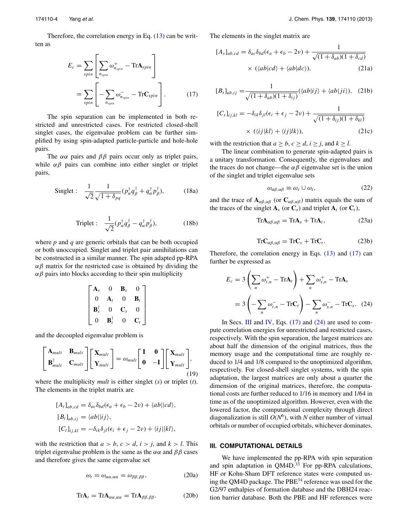<span id="page-4-0"></span>Therefore, the correlation energy in Eq. [\(13\)](#page-3-1) can be written as

$$
E_c = \sum_{spin} \left[ \sum_{n_{spin}} \omega_{n_{spin}}^+ - \text{Tr} \mathbf{A}_{spin} \right]
$$

$$
= \sum_{spin} \left[ -\sum_{n_{spin}} \omega_{n_{spin}}^- - \text{Tr} \mathbf{C}_{spin} \right]. \tag{17}
$$

The spin separation can be implemented in both restricted and unrestricted cases. For restricted closed-shell singlet cases, the eigenvalue problem can be further simplified by using spin-adapted particle-particle and hole-hole pairs.

The  $\alpha\alpha$  pairs and  $\beta\beta$  pairs occur only as triplet pairs, while  $\alpha\beta$  pairs can combine into either singlet or triplet pairs,

Singlet: 
$$
\frac{1}{\sqrt{2}} \frac{1}{\sqrt{1 + \delta_{pq}}} (p_{\alpha}^{\dagger} q_{\beta}^{\dagger} + q_{\alpha}^{\dagger} p_{\beta}^{\dagger}),
$$
 (18a)

$$
\text{Triplet}: \quad \frac{1}{\sqrt{2}} (p_\alpha^\dagger q_\beta^\dagger - q_\alpha^\dagger p_\beta^\dagger), \tag{18b}
$$

where *p* and *q* are generic orbitals that can be both occupied or both unoccupied. Singlet and triplet pair annihilations can be constructed in a similar manner. The spin adapted pp-RPA  $αβ$  matrix for the restricted case is obtained by dividing the  $αβ$  pairs into blocks according to their spin multiplicity

$$
\begin{bmatrix}\n{\bf A}_s & 0 & {\bf B}_s & 0 \\
0 & {\bf A}_t & 0 & {\bf B}_t \\
{\bf B}_s^{\dagger} & 0 & {\bf C}_s & 0 \\
0 & {\bf B}_t^{\dagger} & 0 & {\bf C}_t\n\end{bmatrix}
$$

and the decoupled eigenvalue problem is

$$
\begin{bmatrix} \mathbf{A}_{mult} & \mathbf{B}_{mult} \\ \mathbf{B}_{mult}^{\dagger} & \mathbf{C}_{mult} \end{bmatrix} \begin{bmatrix} \mathbf{X}_{mult} \\ \mathbf{Y}_{mult} \end{bmatrix} = \omega_{mult} \begin{bmatrix} \mathbf{I} & \mathbf{0} \\ \mathbf{0} & -\mathbf{I} \end{bmatrix} \begin{bmatrix} \mathbf{X}_{mult} \\ \mathbf{Y}_{mult} \end{bmatrix},
$$
\n(19)

where the multiplicity *mult* is either singlet (*s*) or triplet (*t*). The elements in the triplet matrix are

$$
[A_t]_{ab,cd} = \delta_{ac}\delta_{bd}(\epsilon_a + \epsilon_b - 2\nu) + \langle ab||cd\rangle,
$$
  
\n
$$
[B_t]_{ab,ij} = \langle ab||ij\rangle,
$$
  
\n
$$
[C_t]_{ij,kl} = -\delta_{ik}\delta_{jl}(\epsilon_i + \epsilon_j - 2\nu) + \langle ij||kl\rangle,
$$

with the restriction that  $a > b$ ,  $c > d$ ,  $i > j$ , and  $k > l$ . This triplet eigenvalue problem is the same as the  $\alpha\alpha$  and  $\beta\beta$  cases and therefore gives the same eigenvalue set

$$
\omega_t = \omega_{\alpha\alpha,\alpha\alpha} = \omega_{\beta\beta,\beta\beta},\tag{20a}
$$

$$
\text{Tr}\mathbf{A}_t = \text{Tr}\mathbf{A}_{\alpha\alpha,\alpha\alpha} = \text{Tr}\mathbf{A}_{\beta\beta,\beta\beta}.
$$
 (20b)

The elements in the singlet matrix are

$$
[A_s]_{ab,cd} = \delta_{ac}\delta_{bd}(\epsilon_a + \epsilon_b - 2\nu) + \frac{1}{\sqrt{(1 + \delta_{ab})(1 + \delta_{cd})}}
$$

$$
\times (\langle ab|cd \rangle + \langle ab|dc \rangle), \qquad (21a)
$$

$$
[B_s]_{ab,ij} = \frac{1}{\sqrt{(1 + \delta_{ab})(1 + \delta_{ij})}} (\langle ab|ij\rangle + \langle ab|ji\rangle), \quad (21b)
$$

$$
[C_s]_{ij,kl} = -\delta_{ik}\delta_{jl}(\epsilon_i + \epsilon_j - 2\nu) + \frac{1}{\sqrt{(1 + \delta_{ij})(1 + \delta_{kl})}}
$$
  
 
$$
\times (\langle ij|kl \rangle + \langle ij|lk \rangle), \qquad (21c)
$$

with the restriction that  $a > b$ ,  $c > d$ ,  $i > j$ , and  $k > l$ .

The linear combination to generate spin-adapted pairs is a unitary transformation. Consequently, the eigenvalues and the traces do not change—the  $\alpha\beta$  eigenvalue set is the union of the singlet and triplet eigenvalue sets

$$
\omega_{\alpha\beta,\alpha\beta} \equiv \omega_s \cup \omega_t,\tag{22}
$$

and the trace of  $\mathbf{A}_{\alpha\beta,\alpha\beta}$  (or  $\mathbf{C}_{\alpha\beta,\alpha\beta}$ ) matrix equals the sum of the traces of the singlet  $A_s$  (or  $C_s$ ) and triplet  $A_t$  (or  $C_t$ ),

$$
\text{Tr}\mathbf{A}_{\alpha\beta,\alpha\beta} = \text{Tr}\mathbf{A}_s + \text{Tr}\mathbf{A}_t,\tag{23a}
$$

<span id="page-4-2"></span>
$$
\text{Tr}\mathbf{C}_{\alpha\beta,\alpha\beta} = \text{Tr}\mathbf{C}_s + \text{Tr}\mathbf{C}_t. \tag{23b}
$$

Therefore, the correlation energy in Eqs. [\(13\)](#page-3-1) and [\(17\)](#page-4-0) can further be expressed as

$$
E_c = 3\left(\sum_n \omega_{t,n}^+ - \text{Tr}\mathbf{A}_t\right) + \sum_n \omega_{s,n}^+ - \text{Tr}\mathbf{A}_s
$$
  
= 
$$
3\left(-\sum_n \omega_{t,n}^- - \text{Tr}\mathbf{C}_t\right) - \sum_n \omega_{s,n}^- - \text{Tr}\mathbf{C}_s.
$$
 (24)

In Secs. [III](#page-4-1) and [IV,](#page-5-0) Eqs.  $(17)$  and  $(24)$  are used to compute correlation energies for unrestricted and restricted cases, respectively. With the spin separation, the largest matrices are about half the dimension of the original matrices, thus the memory usage and the computational time are roughly reduced to 1/4 and 1/8 compared to the unoptimized algorithm, respectively. For closed-shell singlet systems, with the spin adaptation, the largest matrices are only about a quarter the dimension of the original matrices, therefore, the computational costs are further reduced to 1/16 in memory and 1/64 in time as of the unoptimized algorithm. However, even with the lowered factor, the computational complexity through direct diagonalization is still  $O(N^6)$ , with *N* either number of virtual orbitals or number of occupied orbitals, whichever dominates.

## <span id="page-4-1"></span>**III. COMPUTATIONAL DETAILS**

We have implemented the pp-RPA with spin separation and spin adaptation in  $QM4D.<sup>33</sup>$  $QM4D.<sup>33</sup>$  $QM4D.<sup>33</sup>$  For pp-RPA calculations, HF or Kohn-Sham DFT reference states were computed using the QM4D package. The  $PBE^{34}$  reference was used for the G2/97 enthalpies of formation database and the DBH24 reaction barrier database. Both the PBE and HF references were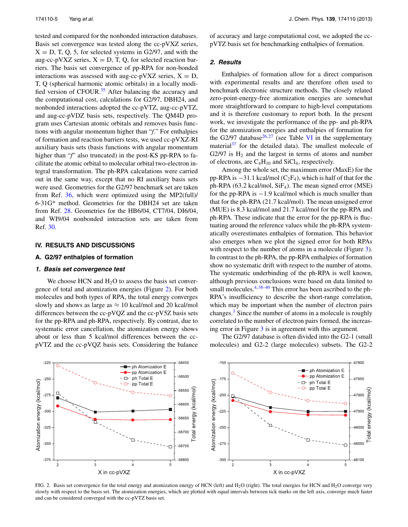tested and compared for the nonbonded interaction databases. Basis set convergence was tested along the cc-pVXZ series,  $X = D$ , T, Q, 5, for selected systems in G2/97, and with the aug-cc-pVXZ series,  $X = D$ , T, Q, for selected reaction barriers. The basis set convergence of pp-RPA for non-bonded interactions was assessed with aug-cc-pVXZ series,  $X = D$ , T, Q (spherical harmonic atomic orbitals) in a locally modi-fied version of CFOUR.<sup>[35](#page-10-33)</sup> After balancing the accuracy and the computational cost, calculations for G2/97, DBH24, and nonbonded interactions adopted the cc-pVTZ, aug-cc-pVTZ, and aug-cc-pVDZ basis sets, respectively. The QM4D program uses Cartesian atomic orbitals and removes basis functions with angular momentum higher than "*f*." For enthalpies of formation and reaction barriers tests, we used cc-pVXZ-RI auxiliary basis sets (basis functions with angular momentum higher than "*f*" also truncated) in the post-KS pp-RPA to facilitate the atomic orbital to molecular orbital two-electron integral transformation. The ph-RPA calculations were carried out in the same way, except that no RI auxiliary basis sets were used. Geometries for the G2/97 benchmark set are taken from Ref. [36,](#page-10-34) which were optimized using the MP2(full)/ 6-31G\* method. Geometries for the DBH24 set are taken from Ref. [28.](#page-10-26) Geometries for the HB6/04, CT7/04, DI6/04, and WI9/04 nonbonded interaction sets are taken from Ref. [30.](#page-10-28)

#### <span id="page-5-0"></span>**IV. RESULTS AND DISCUSSIONS**

#### **A. G2/97 enthalpies of formation**

#### **1. Basis set convergence test**

We choose HCN and  $H<sub>2</sub>O$  to assess the basis set convergence of total and atomization energies (Figure [2\)](#page-5-1). For both molecules and both types of RPA, the total energy converges slowly and shows as large as  $\approx 10$  kcal/mol and 20 kcal/mol differences between the cc-pVQZ and the cc-pV5Z basis sets for the pp-RPA and ph-RPA, respectively. By contrast, due to systematic error cancellation, the atomization energy shows about or less than 5 kcal/mol differences between the ccpVTZ and the cc-pVQZ basis sets. Considering the balance of accuracy and large computational cost, we adopted the ccpVTZ basis set for benchmarking enthalpies of formation.

## **2. Results**

Enthalpies of formation allow for a direct comparison with experimental results and are therefore often used to benchmark electronic structure methods. The closely related zero-point-energy-free atomization energies are somewhat more straightforward to compare to high-level computations and it is therefore customary to report both. In the present work, we investigate the performance of the pp- and ph-RPA for the atomization energies and enthalpies of formation for the G2/97 database<sup>26, [27](#page-10-25)</sup> (see Table [VI](#page-9-0) in the supplementary material $37$  for the detailed data). The smallest molecule of G2/97 is  $H_2$  and the largest in terms of atoms and number of electrons, are  $C_4H_{10}$  and SiCl<sub>4</sub>, respectively.

Among the whole set, the maximum error (MaxE) for the pp-RPA is  $-31.1$  kcal/mol (C<sub>2</sub>F<sub>4</sub>), which is half of that for the ph-RPA (63.2 kcal/mol, SiF4). The mean signed error (MSE) for the pp-RPA is −1.9 kcal/mol which is much smaller than that for the ph-RPA (21.7 kcal/mol). The mean unsigned error (MUE) is 8.3 kcal/mol and 21.7 kcal/mol for the pp-RPA and ph-RPA. These indicate that the error for the pp-RPA is fluctuating around the reference values while the ph-RPA systematically overestimates enthalpies of formation. This behavior also emerges when we plot the signed error for both RPAs with respect to the number of atoms in a molecule (Figure [3\)](#page-6-0). In contrast to the ph-RPA, the pp-RPA enthalpies of formation show no systematic drift with respect to the number of atoms. The systematic underbinding of the ph-RPA is well known, although previous conclusions were based on data limited to small molecules.<sup>4, [38](#page-10-36)[–40](#page-10-37)</sup> This error has been ascribed to the ph-RPA's insufficiency to describe the short-range correlation, which may be important when the number of electron pairs changes.[3](#page-10-38) Since the number of atoms in a molecule is roughly correlated to the number of electron pairs formed, the increasing error in Figure [3](#page-6-0) is in agreement with this argument.

The G2/97 database is often divided into the G2-1 (small molecules) and G2-2 (large molecules) subsets. The G2-2

<span id="page-5-1"></span>

FIG. 2. Basis set convergence for the total energy and atomization energy of HCN (left) and H<sub>2</sub>O (right). The total energies for HCN and H<sub>2</sub>O converge very slowly with respect to the basis set. The atomization energies, which are plotted with equal intervals between tick marks on the left axis, converge much faster and can be considered converged with the cc-pVTZ basis set.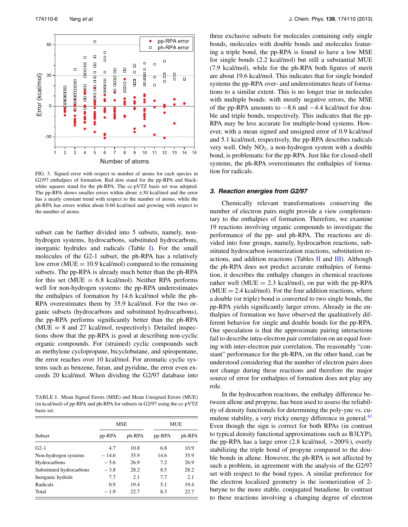<span id="page-6-0"></span>

FIG. 3. Signed error with respect to number of atoms for each species in G2/97 enthalpies of formation. Red dots stand for the pp-RPA and blackwhite squares stand for the ph-RPA. The cc-pVTZ basis set was adopted. The pp-RPA shows smaller errors within about  $\pm 30$  kcal/mol and the error has a nearly constant trend with respect to the number of atoms, while the ph-RPA has errors within about 0-60 kcal/mol and growing with respect to the number of atoms.

subset can be further divided into 5 subsets, namely, nonhydrogen systems, hydrocarbons, substituted hydrocarbons, inorganic hydrides and radicals (Table [I\)](#page-6-1). For the small molecules of the G2-1 subset, the ph-RPA has a relatively low error ( $MUE = 10.9$  kcal/mol) compared to the remaining subsets. The pp-RPA is already much better than the ph-RPA for this set ( $MUE = 6.8$  kcal/mol). Neither RPA performs well for non-hydrogen systems: the pp-RPA underestimates the enthalpies of formation by 14.6 kcal/mol while the ph-RPA overestimates them by 35.9 kcal/mol. For the two organic subsets (hydrocarbons and substituted hydrocarbons), the pp-RPA performs significantly better than the ph-RPA  $(MUE = 8$  and 27 kcal/mol, respectively). Detailed inspections show that the pp-RPA is good at describing non-cyclic organic compounds. For (strained) cyclic compounds such as methylene cyclopropane, bicyclobutane, and spiropentane, the error reaches over 10 kcal/mol. For aromatic cyclic systems such as benzene, furan, and pyridine, the error even exceeds 20 kcal/mol. When dividing the G2/97 database into

<span id="page-6-1"></span>TABLE I. Mean Signed Errors (MSE) and Mean Unsigned Errors (MUE) (in kcal/mol) of pp-RPA and ph-RPA for subsets in G2/97 using the cc-pVTZ basis set.

|                          |         | <b>MSE</b> | MUE              |      |  |
|--------------------------|---------|------------|------------------|------|--|
| <b>Subset</b>            | pp-RPA  | ph-RPA     | pp-RPA<br>ph-RPA |      |  |
| $G2-1$                   | 4.7     | 10.8       | 6.8              | 10.9 |  |
| Non-hydrogen systems     | $-14.6$ | 35.9       | 14.6             | 35.9 |  |
| Hydrocarbons             | $-5.6$  | 26.9       | 7.2              | 26.9 |  |
| Substituted hydrocarbons | $-3.8$  | 28.2       | 8.5              | 28.2 |  |
| Inorganic hydrids        | 7.7     | 2.1        | 7.7              | 2.1  |  |
| Radicals                 | 0.9     | 19.4       | 5.1              | 19.4 |  |
| Total                    | $-1.9$  | 22.7       | 8.3              | 22.7 |  |

three exclusive subsets for molecules containing only single bonds, molecules with double bonds and molecules featuring a triple bond, the pp-RPA is found to have a low MSE for single bonds (2.2 kcal/mol) but still a substantial MUE (7.9 kcal/mol), while for the ph-RPA both figures of merit are about 19.6 kcal/mol. This indicates that for single bonded systems the pp-RPA over- and underestimates heats of formations to a similar extent. This is no longer true in molecules with multiple bonds: with mostly negative errors, the MSE of the pp-RPA amounts to −8.6 and −4.4 kcal/mol for double and triple bonds, respectively. This indicates that the pp-RPA may be less accurate for multiple-bond systems. However, with a mean signed and unsigned error of 0.9 kcal/mol and 5.1 kcal/mol, respectively, the pp-RPA describes radicals very well. Only  $NO<sub>2</sub>$ , a non-hydrogen system with a double bond, is problematic for the pp-RPA. Just like for closed-shell systems, the ph-RPA overestimates the enthalpies of formation for radicals.

#### **3. Reaction energies from G2/97**

Chemically relevant transformations conserving the number of electron pairs might provide a view complementary to the enthalpies of formation. Therefore, we examine 19 reactions involving organic compounds to investigate the performance of the pp- and ph-RPA. The reactions are divided into four groups, namely, hydrocarbon reactions, substituted hydrocarbon isomerization reactions, substitution reactions, and addition reactions (Tables [II](#page-7-0) and [III\)](#page-7-1). Although the ph-RPA does not predict accurate enthalpies of formation, it describes the enthalpy changes in chemical reactions rather well (MUE  $= 2.3$  kcal/mol), on par with the pp-RPA  $(MUE = 2.4$  kcal/mol). For the four addition reactions, where a double (or triple) bond is converted to two single bonds, the pp-RPA yields significantly larger errors. Already in the enthalpies of formation we have observed the qualitatively different behavior for single and double bonds for the pp-RPA. Our speculation is that the approximate pairing interactions fail to describe intra-electron pair correlation on an equal footing with inter-electron pair correlation. The reasonably "constant" performance for the ph-RPA, on the other hand, can be understood considering that the number of electron pairs does not change during these reactions and therefore the major source of error for enthalpies of formation does not play any role.

In the hydrocarbon reactions, the enthalpy difference between allene and propyne, has been used to assess the reliability of density functionals for determining the poly-yne vs. cumulene stability, a very tricky energy difference in general.<sup>41</sup> Even though the sign is correct for both RPAs (in contrast to typical density functional approximations such as B3LYP), the pp-RPA has a large error (2.8 kcal/mol, *>*200%), overly stabilizing the triple bond of propyne compared to the double bonds in allene. However, the ph-RPA is not affected by such a problem, in agreement with the analysis of the G2/97 set with respect to the bond types. A similar preference for the electron localized geometry is the isomerization of 2 butyne to the more stable, conjugated butadiene. In contrast to these reactions involving a changing degree of electron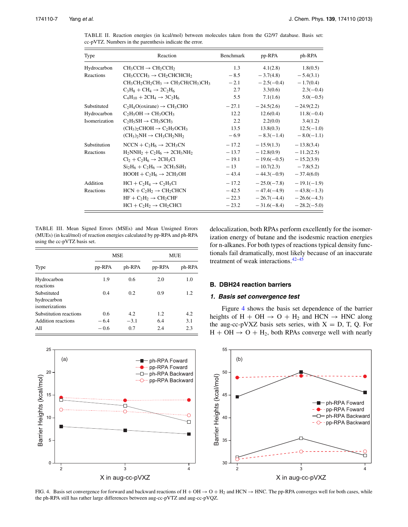| Type          | Reaction                                              | Benchmark | pp-RPA        | ph-RPA                    |
|---------------|-------------------------------------------------------|-----------|---------------|---------------------------|
| Hydrocarbon   | $CH_3CCH \rightarrow CH_2CCH_2$                       | 1.3       | 4.1(2.8)      | 1.8(0.5)                  |
| Reactions     | $CH_3CCCH_3 \rightarrow CH_2CHCHCH_2$                 | $-8.5$    | $-3.7(4.8)$   | $-5.4(3.1)$               |
|               | $CH_3CH_2CH_2CH_3 \rightarrow CH_3CH(CH_3)CH_3$       | $-2.1$    | $-2.5(-0.4)$  | $-1.7(0.4)$               |
|               | $C_3H_8 + CH_4 \rightarrow 2C_2H_6$                   | 2.7       | 3.3(0.6)      | $2.3(-0.4)$               |
|               | $C_4H_{10} + 2CH_4 \rightarrow 3C_2H_6$               | 5.5       | 7.1(1.6)      | $5.0(-0.5)$               |
| Substituted   | $C_2H_4O$ (oxirane) $\rightarrow$ CH <sub>3</sub> CHO | $-27.1$   | $-24.5(2.6)$  | $-24.9(2.2)$              |
| Hydrocarbon   | $C_2H_5OH \rightarrow CH_3OCH_3$                      | 12.2      | 12.6(0.4)     | $11.8(-0.4)$              |
| Isomerization | $C_2H_5SH \rightarrow CH_3SCH_3$                      | 2.2       | 2.2(0.0)      | 3.4(1.2)                  |
|               | $(CH_3)_2CHOH \rightarrow C_2H_5OCH_3$                | 13.5      | 13.8(0.3)     | $12.5(-1.0)$              |
|               | $(CH_3)$ <sub>2</sub> $NH \rightarrow CH_3CH_2NH_2$   | $-6.9$    | $-8.3(-1.4)$  | $-8.0(-1.1)$              |
| Substitution  | $NCCN + C2H6 \rightarrow 2CH3CN$                      | $-17.2$   | $-15.9(1.3)$  | $-13.8(3.4)$              |
| Reactions     | $H_2NNH_2 + C_2H_6 \rightarrow 2CH_3NH_2$             | $-13.7$   | $-12.8(0.9)$  | $-11.2(2.5)$              |
|               | $Cl2 + C2H6 \rightarrow 2CH3Cl$                       | $-19.1$   | $-19.6(-0.5)$ | $-15.2(3.9)$              |
|               | $Si_2H_6 + C_2H_6 \rightarrow 2CH_3SiH_3$             | $-13$     | $-10.7(2.3)$  | $-7.8(5.2)$               |
|               | $HOOH + C2H6 \rightarrow 2CH3OH$                      | $-43.4$   | $-44.3(-0.9)$ | $-37.4(6.0)$              |
| Addition      | $HCl + C2H4 \rightarrow C2H5Cl$                       | $-17.2$   | $-25.0(-7.8)$ | $-19.1(-1.9)$             |
| Reactions     | $HCN + C2H2 \rightarrow CH2CHCN$                      | $-42.5$   | $-47.4(-4.9)$ | $-43.8(-1.3)$             |
|               | $HF + C_2H_2 \rightarrow CH_2CHF$                     | $-22.3$   |               | $-26.7(-4.4) -26.6(-4.3)$ |
|               | $HCl + C2H2 \rightarrow CH2CHCl$                      | $-23.2$   | $-31.6(-8.4)$ | $-28.2(-5.0)$             |

<span id="page-7-0"></span>TABLE II. Reaction energies (in kcal/mol) between molecules taken from the G2/97 database. Basis set: cc-pVTZ. Numbers in the parenthesis indicate the error.

<span id="page-7-1"></span>TABLE III. Mean Signed Errors (MSEs) and Mean Unsigned Errors (MUEs) (in kcal/mol) of reaction energies calculated by pp-RPA and ph-RPA using the cc-pVTZ basis set.

|                                              |               | <b>MSE</b> | <b>MUE</b> |        |  |
|----------------------------------------------|---------------|------------|------------|--------|--|
| Type                                         | pp-RPA        | ph-RPA     | pp-RPA     | ph-RPA |  |
| Hydrocarbon<br>reactions                     | 1.9           | 0.6        | 2.0        | 1.0    |  |
| Substituted<br>hydrocarbon<br>isomerizations | 0.4           | 0.2        | 0.9        | 1.2    |  |
| Substitution reactions                       | $0.6^{\circ}$ | 4.2        | 1.2        | 4.2    |  |
| <b>Addition reactions</b>                    | $-6.4$        | $-3.1$     | 6.4        | 3.1    |  |
| A11                                          | $-0.6$        | 0.7        | 2.4        | 2.3    |  |

<span id="page-7-2"></span>25 (a)  $-\blacksquare$ -ph-RPA Foward  $\vert$  (b) - pp-RPA Foward  $20\,$ - D – ph-RPA Backward Barrier Heights (kcal/mol) Barrier Heights (kcal/mol) ···O··· pp-RPA Backward C 10  $\Box$ 5  $\mathbf 0$  $\overline{c}$ 3  $\overline{4}$ X in aug-cc-pVXZ

delocalization, both RPAs perform excellently for the isomerization energy of butane and the isodesmic reaction energies for n-alkanes. For both types of reactions typical density functionals fail dramatically, most likely because of an inaccurate treatment of weak interactions. $42-45$  $42-45$ 

## **B. DBH24 reaction barriers**

## **1. Basis set convergence test**

Figure [4](#page-7-2) shows the basis set dependence of the barrier heights of H + OH  $\rightarrow$  O + H<sub>2</sub> and HCN  $\rightarrow$  HNC along the aug-cc-pVXZ basis sets series, with  $X = D$ , T, Q. For  $H + OH \rightarrow O + H_2$ , both RPAs converge well with nearly



FIG. 4. Basis set convergence for forward and backward reactions of  $H + OH \rightarrow O + H_2$  and HCN  $\rightarrow$  HNC. The pp-RPA converges well for both cases, while the ph-RPA still has rather large differences between aug-cc-pVTZ and aug-cc-pVQZ.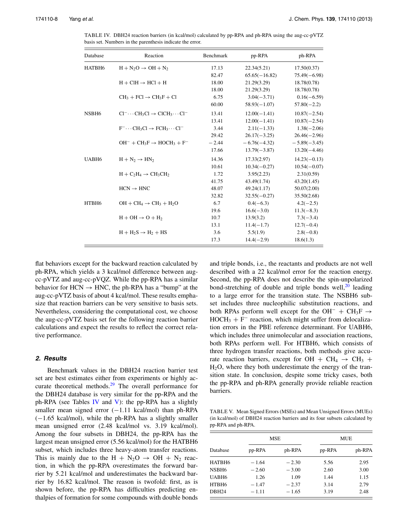<span id="page-8-0"></span>

| Database          | Reaction                                                    | Benchmark | pp-RPA          | ph-RPA         |
|-------------------|-------------------------------------------------------------|-----------|-----------------|----------------|
| HATBH6            | $H + N2O \rightarrow OH + N2$                               | 17.13     | 22.34(5.21)     | 17.50(0.37)    |
|                   |                                                             | 82.47     | $65.65(-16.82)$ | $75.49(-6.98)$ |
|                   | $H + CH \rightarrow HCl + H$                                | 18.00     | 21.29(3.29)     | 18.78(0.78)    |
|                   |                                                             | 18.00     | 21.29(3.29)     | 18.78(0.78)    |
|                   | $CH_3 + FCl \rightarrow CH_3F + Cl$                         | 6.75      | $3.04(-3.71)$   | $0.16(-6.59)$  |
|                   |                                                             | 60.00     | $58.93(-1.07)$  | $57.80(-2.2)$  |
| NSBH <sub>6</sub> | $Cl^{-} \cdots CH_{3}Cl \rightarrow ClCH_{3} \cdots Cl^{-}$ | 13.41     | $12.00(-1.41)$  | $10.87(-2.54)$ |
|                   |                                                             | 13.41     | $12.00(-1.41)$  | $10.87(-2.54)$ |
|                   | $F^- \cdots CH_3Cl \rightarrow FCH_3 \cdots Cl^-$           | 3.44      | $2.11(-1.33)$   | $1.38(-2.06)$  |
|                   |                                                             | 29.42     | $26.17(-3.25)$  | $26.46(-2.96)$ |
|                   | $OH^- + CH_3F \rightarrow HOCH_3 + F^-$                     | $-2.44$   | $-6.76(-4.32)$  | $-5.89(-3.45)$ |
|                   |                                                             | 17.66     | $13.79(-3.87)$  | $13.20(-4.46)$ |
| UABH <sub>6</sub> | $H + N_2 \rightarrow H N_2$                                 | 14.36     | 17.33(2.97)     | $14.23(-0.13)$ |
|                   |                                                             | 10.61     | $10.34(-0.27)$  | $10.54(-0.07)$ |
|                   | $H + C_2H_4 \rightarrow CH_3CH_2$                           | 1.72      | 3.95(2.23)      | 2.31(0.59)     |
|                   |                                                             | 41.75     | 43.49(1.74)     | 43.20(1.45)    |
|                   | $HCN \rightarrow HNC$                                       | 48.07     | 49.24(1.17)     | 50.07(2.00)    |
|                   |                                                             | 32.82     | $32.55(-0.27)$  | 35.50(2.68)    |
| HTBH6             | $OH + CH_4 \rightarrow CH_3 + H_2O$                         | 6.7       | $0.4(-6.3)$     | $4.2(-2.5)$    |
|                   |                                                             | 19.6      | $16.6(-3.0)$    | $11.3(-8.3)$   |
|                   | $H + OH \rightarrow O + H_2$                                | 10.7      | 13.9(3.2)       | $7.3(-3.4)$    |
|                   |                                                             | 13.1      | $11.4(-1.7)$    | $12.7(-0.4)$   |
|                   | $H + H2S \rightarrow H2 + HS$                               | 3.6       | 5.5(1.9)        | $2.8(-0.8)$    |
|                   |                                                             | 17.3      | $14.4(-2.9)$    | 18.6(1.3)      |

TABLE IV. DBH24 reaction barriers (in kcal/mol) calculated by pp-RPA and ph-RPA using the aug-cc-pVTZ basis set. Numbers in the parenthesis indicate the error.

flat behaviors except for the backward reaction calculated by ph-RPA, which yields a 3 kcal/mol difference between augcc-pVTZ and aug-cc-pVQZ. While the pp-RPA has a similar behavior for  $HCN \rightarrow HNC$ , the ph-RPA has a "bump" at the aug-cc-pVTZ basis of about 4 kcal/mol. These results emphasize that reaction barriers can be very sensitive to basis sets. Nevertheless, considering the computational cost, we choose the aug-cc-pVTZ basis set for the following reaction barrier calculations and expect the results to reflect the correct relative performance.

## **2. Results**

Benchmark values in the DBH24 reaction barrier test set are best estimates either from experiments or highly ac-curate theoretical methods.<sup>[29](#page-10-27)</sup> The overall performance for the DBH24 database is very similar for the pp-RPA and the ph-RPA (see Tables [IV](#page-8-0) and [V\)](#page-8-1): the pp-RPA has a slightly smaller mean signed error (-1.11 kcal/mol) than ph-RPA (−1.65 kcal/mol), while the ph-RPA has a slightly smaller mean unsigned error (2.48 kcal/mol vs. 3.19 kcal/mol). Among the four subsets in DBH24, the pp-RPA has the largest mean unsigned error (5.56 kcal/mol) for the HATBH6 subset, which includes three heavy-atom transfer reactions. This is mainly due to the H +  $N_2O \rightarrow OH + N_2$  reaction, in which the pp-RPA overestimates the forward barrier by 5.21 kcal/mol and underestimates the backward barrier by 16.82 kcal/mol. The reason is twofold: first, as is shown before, the pp-RPA has difficulties predicting enthalpies of formation for some compounds with double bonds and triple bonds, i.e., the reactants and products are not well described with a 22 kcal/mol error for the reaction energy. Second, the pp-RPA does not describe the spin-unpolarized bond-stretching of double and triple bonds well, $^{20}$  $^{20}$  $^{20}$  leading to a large error for the transition state. The NSBH6 subset includes three nucleophilic substitution reactions, and both RPAs perform well except for the OH<sup>-</sup> + CH<sub>3</sub>F  $\rightarrow$  $HOCH_3 + F^-$  reaction, which might suffer from delocalization errors in the PBE reference determinant. For UABH6, which includes three unimolecular and association reactions, both RPAs perform well. For HTBH6, which consists of three hydrogen transfer reactions, both methods give accurate reaction barriers, except for OH + CH<sub>4</sub>  $\rightarrow$  CH<sub>3</sub> +  $H<sub>2</sub>O$ , where they both underestimate the energy of the transition state. In conclusion, despite some tricky cases, both the pp-RPA and ph-RPA generally provide reliable reaction barriers.

<span id="page-8-1"></span>TABLE V. Mean Signed Errors (MSEs) and Mean Unsigned Errors (MUEs) (in kcal/mol) of DBH24 reaction barriers and its four subsets calculated by pp-RPA and ph-RPA.

|                   |         | <b>MSE</b> | MUE    |        |  |
|-------------------|---------|------------|--------|--------|--|
| Database          | pp-RPA  | ph-RPA     | pp-RPA | ph-RPA |  |
| HATBH6            | $-1.64$ | $-2.30$    | 5.56   | 2.95   |  |
| NSBH6             | $-2.60$ | $-3.00$    | 2.60   | 3.00   |  |
| UABH <sub>6</sub> | 1.26    | 1.09       | 1.44   | 1.15   |  |
| HTBH <sub>6</sub> | $-1.47$ | $-2.37$    | 3.14   | 2.79   |  |
| <b>DBH24</b>      | $-1.11$ | $-1.65$    | 3.19   | 2.48   |  |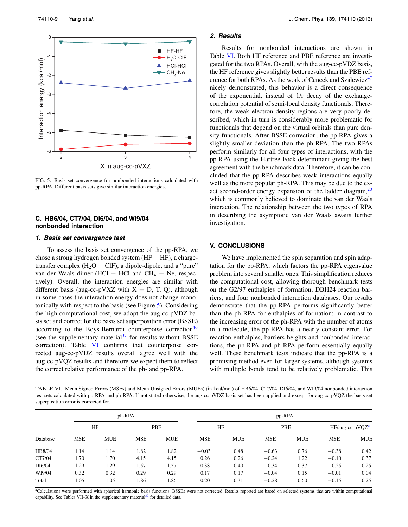<span id="page-9-1"></span>

FIG. 5. Basis set convergence for nonbonded interactions calculated with pp-RPA. Different basis sets give similar interaction energies.

## **C. HB6/04, CT7/04, DI6/04, and WI9/04 nonbonded interaction**

## **1. Basis set convergence test**

To assess the basis set convergence of the pp-RPA, we chose a strong hydrogen bonded system (HF − HF), a chargetransfer complex  $(H_2O - CIF)$ , a dipole-dipole, and a "pure" van der Waals dimer (HCl – HCl and  $CH_4$  – Ne, respectively). Overall, the interaction energies are similar with different basis (aug-cc-pVXZ with  $X = D$ , T, Q), although in some cases the interaction energy does not change monotonically with respect to the basis (see Figure [5\)](#page-9-1). Considering the high computational cost, we adopt the aug-cc-pVDZ basis set and correct for the basis set superposition error (BSSE) according to the Boys-Bernardi counterpoise correction<sup>46</sup> (see the supplementary material $37$  for results without BSSE correction). Table [VI](#page-9-0) confirms that counterpoise corrected aug-cc-pVDZ results overall agree well with the aug-cc-pVQZ results and therefore we expect them to reflect the correct relative performance of the ph- and pp-RPA.

## **2. Results**

Results for nonbonded interactions are shown in Table [VI.](#page-9-0) Both HF reference and PBE reference are investigated for the two RPAs. Overall, with the aug-cc-pVDZ basis, the HF reference gives slightly better results than the PBE reference for both RPAs. As the work of Cencek and Szalewicz<sup>47</sup> nicely demonstrated, this behavior is a direct consequence of the exponential, instead of 1/r decay of the exchangecorrelation potential of semi-local density functionals. Therefore, the weak electron density regions are very poorly described, which in turn is considerably more problematic for functionals that depend on the virtual orbitals than pure density functionals. After BSSE correction, the pp-RPA gives a slightly smaller deviation than the ph-RPA. The two RPAs perform similarly for all four types of interactions, with the pp-RPA using the Hartree-Fock determinant giving the best agreement with the benchmark data. Therefore, it can be concluded that the pp-RPA describes weak interactions equally well as the more popular ph-RPA. This may be due to the exact second-order energy expansion of the ladder diagram,  $20$ which is commonly believed to dominate the van der Waals interaction. The relationship between the two types of RPA in describing the asymptotic van der Waals awaits further investigation.

## **V. CONCLUSIONS**

We have implemented the spin separation and spin adaptation for the pp-RPA, which factors the pp-RPA eigenvalue problem into several smaller ones. This simplification reduces the computational cost, allowing thorough benchmark tests on the G2/97 enthalpies of formation, DBH24 reaction barriers, and four nonbonded interaction databases. Our results demonstrate that the pp-RPA performs significantly better than the ph-RPA for enthalpies of formation: in contrast to the increasing error of the ph-RPA with the number of atoms in a molecule, the pp-RPA has a nearly constant error. For reaction enthalpies, barriers heights and nonbonded interactions, the pp-RPA and ph-RPA perform essentially equally well. These benchmark tests indicate that the pp-RPA is a promising method even for larger systems, although systems with multiple bonds tend to be relatively problematic. This

<span id="page-9-0"></span>TABLE VI. Mean Signed Errors (MSEs) and Mean Unsigned Errors (MUEs) (in kcal/mol) of HB6/04, CT7/04, DI6/04, and WI9/04 nonbonded interaction test sets calculated with pp-RPA and ph-RPA. If not stated otherwise, the aug-cc-pVDZ basis set has been applied and except for aug-cc-pVQZ the basis set superposition error is corrected for.

|          |            |            | ph-RPA     |            | pp-RPA     |            |            |            |                   |            |
|----------|------------|------------|------------|------------|------------|------------|------------|------------|-------------------|------------|
| Database | HF         |            | PBE        |            | HF         |            | PBE        |            | $HF/aug-cc-pVQZa$ |            |
|          | <b>MSE</b> | <b>MUE</b> | <b>MSE</b> | <b>MUE</b> | <b>MSE</b> | <b>MUE</b> | <b>MSE</b> | <b>MUE</b> | <b>MSE</b>        | <b>MUE</b> |
| HB8/04   | 1.14       | 1.14       | 1.82       | 1.82       | $-0.03$    | 0.48       | $-0.63$    | 0.76       | $-0.38$           | 0.42       |
| CT7/04   | 1.70       | 1.70       | 4.15       | 4.15       | 0.26       | 0.26       | $-0.24$    | 1.22       | $-0.10$           | 0.37       |
| DI6/04   | 1.29       | 1.29       | 1.57       | 1.57       | 0.38       | 0.40       | $-0.34$    | 0.37       | $-0.25$           | 0.25       |
| WI9/04   | 0.32       | 0.32       | 0.29       | 0.29       | 0.17       | 0.17       | $-0.04$    | 0.15       | $-0.01$           | 0.04       |
| Total    | 1.05       | 1.05       | 1.86       | .86        | 0.20       | 0.31       | $-0.28$    | 0.60       | $-0.15$           | 0.25       |

<span id="page-9-2"></span>aCalculations were performed with spherical harmonic basis functions. BSSEs were not corrected. Results reported are based on selected systems that are within computational capability. See Tables VII–X in the supplementary material<sup>37</sup> for detailed data.